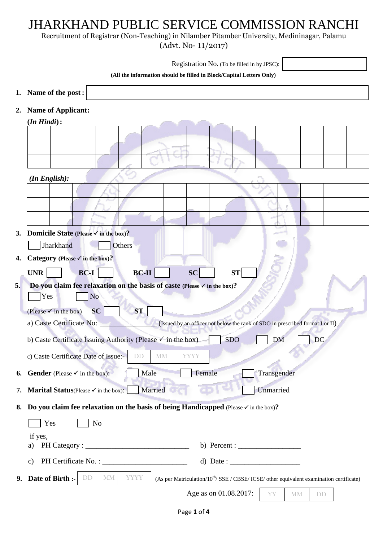## JHARKHAND PUBLIC SERVICE COMMISSION RANCHI

Recruitment of Registrar (Non-Teaching) in Nilamber Pitamber University, Medininagar, Palamu

(Advt. No- 11/2017)

|    | Registration No. (To be filled in by JPSC):                                                                                                            |
|----|--------------------------------------------------------------------------------------------------------------------------------------------------------|
|    | (All the information should be filled in Block/Capital Letters Only)                                                                                   |
|    | 1. Name of the post :                                                                                                                                  |
| 2. | <b>Name of Applicant:</b>                                                                                                                              |
|    | $(In$ $Hindi)$ :                                                                                                                                       |
|    |                                                                                                                                                        |
|    |                                                                                                                                                        |
|    |                                                                                                                                                        |
|    | $(In$ English):                                                                                                                                        |
|    |                                                                                                                                                        |
|    |                                                                                                                                                        |
|    |                                                                                                                                                        |
| 3. | Domicile State (Please $\checkmark$ in the box)?                                                                                                       |
|    | Jharkhand<br>Others                                                                                                                                    |
| 4. | Category (Please $\checkmark$ in the box)?                                                                                                             |
|    | $BC-II$<br><b>UNR</b><br><b>BC-I</b><br><b>SC</b><br><b>ST</b>                                                                                         |
| 5. | Do you claim fee relaxation on the basis of caste (Please $\checkmark$ in the box)?<br>Yes<br><b>No</b>                                                |
|    | <b>SC</b><br><b>ST</b><br>(Please $\checkmark$ in the box)                                                                                             |
|    | a) Caste Certificate No:<br>(Issued by an officer not below the rank of SDO in prescribed format I or II)                                              |
|    | b) Caste Certificate Issuing Authority (Please $\checkmark$ in the box)<br><b>SDO</b><br>DC<br><b>DM</b>                                               |
|    | c) Caste Certificate Date of Issue:-<br><b>YYYY</b><br><b>MM</b><br>DD                                                                                 |
| 6. | <b>Gender</b> (Please $\checkmark$ in the box):<br>Male<br>Female<br>Transgender                                                                       |
| 7. | Married<br>Unmarried<br><b>Marital Status</b> (Please $\checkmark$ in the box):                                                                        |
| 8. | Do you claim fee relaxation on the basis of being Handicapped (Please $\checkmark$ in the box)?                                                        |
|    | Yes<br>No                                                                                                                                              |
|    | if yes,                                                                                                                                                |
|    | a)                                                                                                                                                     |
|    | d) Date : $\frac{1}{\sqrt{1-\frac{1}{2}} \cdot \frac{1}{2}}$<br>$\mathbf{c})$                                                                          |
|    | 9. Date of Birth :-<br><b>MM</b><br><b>YYYY</b><br>(As per Matriculation/ $10^{th}$ /SSE / CBSE/ICSE/ other equivalent examination certificate)<br>DD. |
|    | Age as on 01.08.2017:<br>YY.<br><b>MM</b><br>DD                                                                                                        |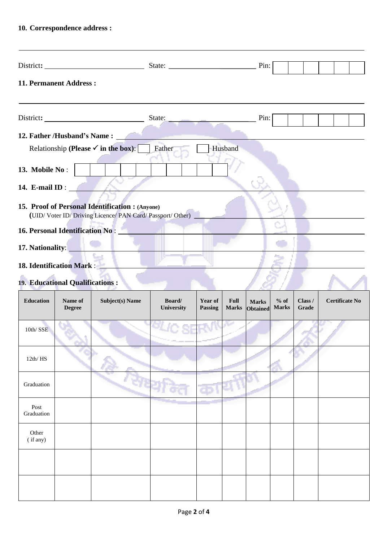## **10. Correspondence address :**

| 11. Permanent Address:                                                                                    |                                                                                                                                                        |         |      |  |  |
|-----------------------------------------------------------------------------------------------------------|--------------------------------------------------------------------------------------------------------------------------------------------------------|---------|------|--|--|
|                                                                                                           | State: $\frac{1}{\sqrt{1-\frac{1}{2}} \cdot \frac{1}{\sqrt{1-\frac{1}{2}} \cdot \frac{1}{2}} \cdot \frac{1}{\sqrt{1-\frac{1}{2}} \cdot \frac{1}{2}}}}$ |         | Pin: |  |  |
| 12. Father /Husband's Name:                                                                               |                                                                                                                                                        |         |      |  |  |
| Relationship (Please $\checkmark$ in the box):<br>13. Mobile No:                                          | Father                                                                                                                                                 | Husband |      |  |  |
| 14. E-mail ID : $\blacksquare$                                                                            |                                                                                                                                                        |         |      |  |  |
| 15. Proof of Personal Identification : (Anyone)<br>(UID/Voter ID/Driving Licence/PAN Card/Passport/Other) |                                                                                                                                                        |         |      |  |  |
|                                                                                                           |                                                                                                                                                        |         |      |  |  |
| 17. Nationality:                                                                                          |                                                                                                                                                        |         |      |  |  |
| 18. Identification Mark:                                                                                  |                                                                                                                                                        |         |      |  |  |

## **19. Educational Qualifications :**

|                    | 0.01111<br>19. Educational Qualifications : |                        |                      |                    |                      |                                 |                        |                  |                       |
|--------------------|---------------------------------------------|------------------------|----------------------|--------------------|----------------------|---------------------------------|------------------------|------------------|-----------------------|
| Education          | Name of<br><b>Degree</b>                    | <b>Subject(s)</b> Name | Board/<br>University | Year of<br>Passing | Full<br><b>Marks</b> | <b>Marks</b><br><b>Obtained</b> | $%$ of<br><b>Marks</b> | Class /<br>Grade | <b>Certificate No</b> |
| 10th/SSE           |                                             |                        | <b>BLIC SF</b>       |                    |                      |                                 |                        |                  |                       |
| 12th/HS            |                                             |                        |                      |                    |                      |                                 |                        |                  |                       |
| Graduation         |                                             |                        |                      |                    |                      |                                 |                        |                  |                       |
| Post<br>Graduation |                                             |                        |                      |                    |                      |                                 |                        |                  |                       |
| Other<br>(if any)  |                                             |                        |                      |                    |                      |                                 |                        |                  |                       |
|                    |                                             |                        |                      |                    |                      |                                 |                        |                  |                       |
|                    |                                             |                        |                      |                    |                      |                                 |                        |                  |                       |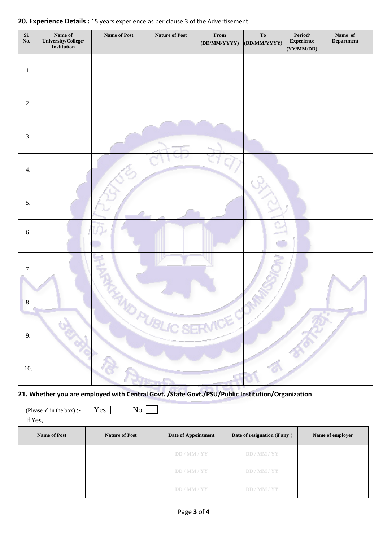|  |  | 20. Experience Details : 15 years experience as per clause 3 of the Advertisement. |
|--|--|------------------------------------------------------------------------------------|
|--|--|------------------------------------------------------------------------------------|

| Si.<br>No. | Name $\mathbf{of}$<br>University/College/<br>Institution | <b>Name of Post</b> | <b>Nature of Post</b> | $\ensuremath{\textnormal{\textbf{From}}}$<br>(DD/MM/YYYY) | ${\bf To}$<br>(DD/MM/YYYY) | $\ensuremath{\mathbf{Period}}\xspace$<br><b>Experience</b><br>(YY/MM/DD) | Name of<br><b>Department</b> |
|------------|----------------------------------------------------------|---------------------|-----------------------|-----------------------------------------------------------|----------------------------|--------------------------------------------------------------------------|------------------------------|
| $1.$       |                                                          |                     |                       |                                                           |                            |                                                                          |                              |
| 2.         |                                                          |                     |                       |                                                           |                            |                                                                          |                              |
| 3.         |                                                          |                     |                       |                                                           |                            |                                                                          |                              |
| 4.         |                                                          |                     |                       |                                                           |                            |                                                                          |                              |
| 5.         |                                                          |                     |                       |                                                           |                            |                                                                          |                              |
| 6.         |                                                          |                     |                       |                                                           |                            |                                                                          |                              |
| $7. \,$    |                                                          |                     |                       |                                                           |                            |                                                                          |                              |
| 8.         |                                                          |                     |                       |                                                           |                            |                                                                          |                              |
| 9.         |                                                          |                     | <b>BLIC SERVICE</b>   |                                                           |                            |                                                                          |                              |
| $10.$      |                                                          |                     |                       |                                                           |                            |                                                                          |                              |

| 21. Whether you are employed with Central Govt. /State Govt./PSU/Public Institution/Organization |  |
|--------------------------------------------------------------------------------------------------|--|
|--------------------------------------------------------------------------------------------------|--|

(Please  $\checkmark$  in the box) :**-**  $\checkmark$  Yes  $\Box$  No  $\Box$ 

If Yes,

| <b>Name of Post</b> | <b>Nature of Post</b> | <b>Date of Appointment</b> | Date of resignation (if any ) | Name of employer |
|---------------------|-----------------------|----------------------------|-------------------------------|------------------|
|                     |                       | DD / MM / YY               | DD / MM / YY                  |                  |
|                     |                       | DD / MM / YY               | DD / MM / YY                  |                  |
|                     |                       | DD / MM / YY               | DD / MM / YY                  |                  |